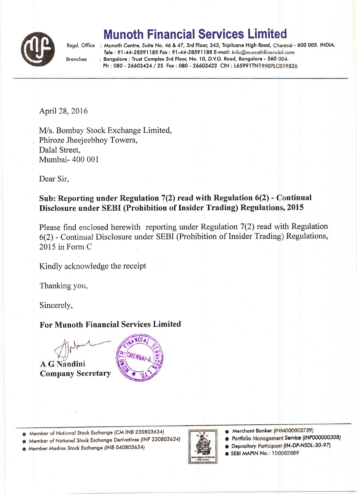

## Munoth Financial Services Limi

**Branches** 

Regd. Office : Munoth Centre, Suite No. 46 & 47, 3rd Floor, 343, Triplicane High Road, Chennai - 600 005. INDIA. Tele: 91-44-28591185 Fax: 91-44-28591188 E-mail: info@munothfinancial.com : Bangalore : Trust Complex 3rd Floor, No. 10, D.V.G. Road, Bangalore - 560 004. Ph: 080 - 26603424 / 25 Fax: 080 - 26603423 CIN: L65991TN1990PLC019836

April 28,2016

IWs. Bombay Stock Exchange Limited, Phiroze Jheejeebhoy Towers, Dalal Street, Mumbai- 400 001

Dear Sir.

## Sub: Reporting under Regulation  $7(2)$  read with Regulation  $6(2)$  - Continual Disclosure under SEBI (Prohibition of Insider Trading) Regulations, 2015

Please find enclosed herewith reporting under Regulation 7(2) read with Regulation 6(2) - Continual Disclosure under SEBI (Prohibition of Insider Trading) Regulations, 2015 in Form C

Kindly acknowledge the receipt

Thanking you,

Sincerely,

## For Munoth Financial Services Limited



**A G Nandini** Company Secretary



o Member of Notionql Stock Exchonge (CM INB 230803634)

o Member of Nqfionol Stock Exchonge Derivolives ('NF 230803634)

O Member Modros Stock Exchonge {fNB 040803534)



- Merchant Banker (INM000003739)
- Portfolio Management Service (INP000000308)
- Depository <mark>Pa</mark>rticipant (IN-DP-NSDL-30-97)
- **EBI MAPIN No.: 100002089**